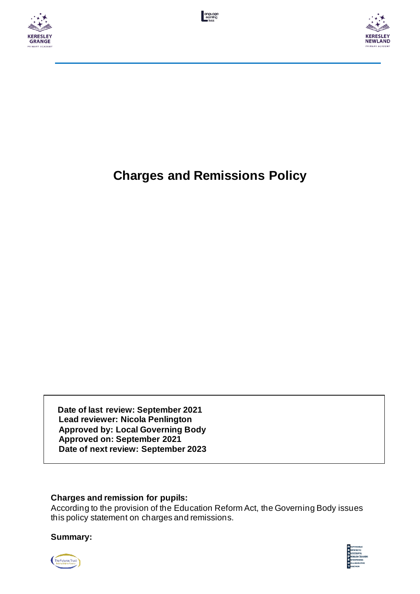





# **Charges and Remissions Policy**

 **Date of last review: September 2021 Lead reviewer: Nicola Penlington Approved by: Local Governing Body Approved on: September 2021 Date of next review: September 2023**

## **Charges and remission for pupils:**

According to the provision of the Education Reform Act, the Governing Body issues this policy statement on charges and remissions.

## **Summary:**



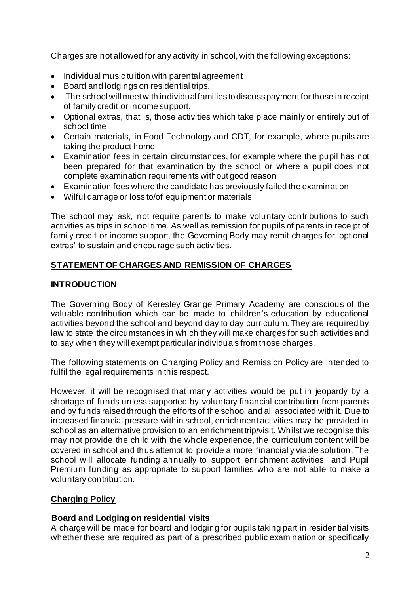Charges are not allowed for any activity in school, with the following exceptions:

- Individual music tuition with parental agreement
- Board and lodgings on residential trips.
- The school will meet with individual families to discuss payment for those in receipt of family credit or income support.
- Optional extras, that is, those activities which take place mainly or entirely out of school time
- Certain materials, in Food Technology and CDT, for example, where pupils are taking the product home
- Examination fees in certain circumstances, for example where the pupil has not been prepared for that examination by the school or where a pupil does not complete examination requirements without good reason
- Examination fees where the candidate has previously failed the examination
- Wilful damage or loss to/of equipment or materials

The school may ask, not require parents to make voluntary contributions to such activities as trips in school time. As well as remission for pupils of parents in receipt of family credit or income support, the Governing Body may remit charges for 'optional extras' to sustain and encourage such activities.

## **STATEMENT OF CHARGES AND REMISSION OF CHARGES**

## **INTRODUCTION**

The Governing Body of Keresley Grange Primary Academy are conscious of the valuable contribution which can be made to children's education by educational activities beyond the school and beyond day to day curriculum. They are required by law to state the circumstances in which they will make charges for such activities and to say when they will exempt particular individuals from those charges.

The following statements on Charging Policy and Remission Policy are intended to fulfil the legal requirements in this respect.

However, it will be recognised that many activities would be put in jeopardy by a shortage of funds unless supported by voluntary financial contribution from parents and by funds raised through the efforts of the school and all associated with it. Due to increased financial pressure within school, enrichment activities may be provided in school as an alternative provision to an enrichment trip/visit. Whilst we recognise this may not provide the child with the whole experience, the curriculum content will be covered in school and thus attempt to provide a more financially viable solution. The school will allocate funding annually to support enrichment activities; and Pupil Premium funding as appropriate to support families who are not able to make a voluntary contribution.

## **Charging Policy**

## **Board and Lodging on residential visits**

A charge will be made for board and lodging for pupils taking part in residential visits whether these are required as part of a prescribed public examination or specifically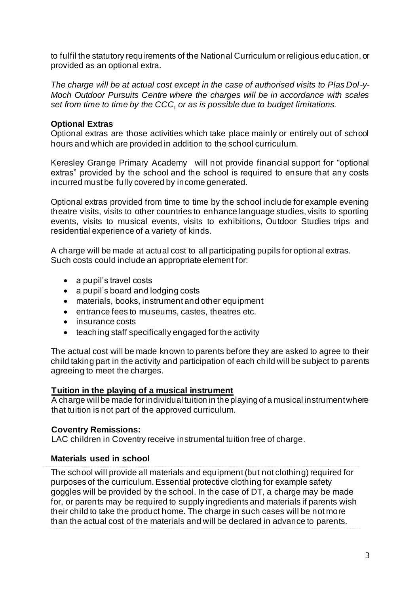to fulfil the statutory requirements of the National Curriculum or religious education, or provided as an optional extra.

*The charge will be at actual cost except in the case of authorised visits to Plas Dol-y-Moch Outdoor Pursuits Centre where the charges will be in accordance with scales set from time to time by the CCC, or as is possible due to budget limitations.*

#### **Optional Extras**

Optional extras are those activities which take place mainly or entirely out of school hours and which are provided in addition to the school curriculum.

Keresley Grange Primary Academy will not provide financial support for "optional extras" provided by the school and the school is required to ensure that any costs incurred must be fully covered by income generated.

Optional extras provided from time to time by the school include for example evening theatre visits, visits to other countries to enhance language studies, visits to sporting events, visits to musical events, visits to exhibitions, Outdoor Studies trips and residential experience of a variety of kinds.

A charge will be made at actual cost to all participating pupils for optional extras. Such costs could include an appropriate element for:

- a pupil's travel costs
- a pupil's board and lodging costs
- materials, books, instrument and other equipment
- entrance fees to museums, castes, theatres etc.
- insurance costs
- teaching staff specifically engaged for the activity

The actual cost will be made known to parents before they are asked to agree to their child taking part in the activity and participation of each child will be subject to parents agreeing to meet the charges.

#### **Tuition in the playing of a musical instrument**

A charge will be made for individual tuition in the playing of a musical instrument where that tuition is not part of the approved curriculum.

#### **Coventry Remissions:**

LAC children in Coventry receive instrumental tuition free of charge.

#### **Materials used in school**

The school will provide all materials and equipment (but not clothing) required for purposes of the curriculum. Essential protective clothing for example safety goggles will be provided by the school. In the case of DT, a charge may be made for, or parents may be required to supply ingredients and materials if parents wish their child to take the product home. The charge in such cases will be not more than the actual cost of the materials and will be declared in advance to parents.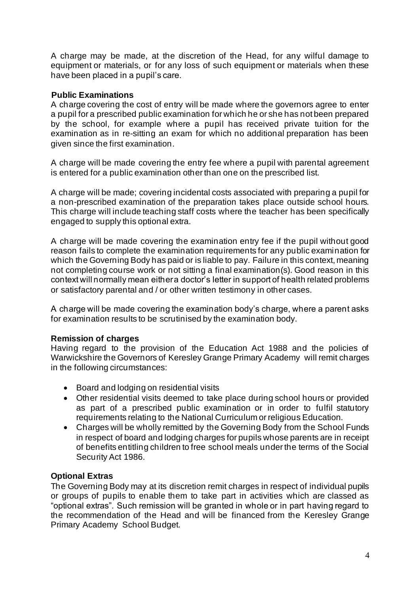A charge may be made, at the discretion of the Head, for any wilful damage to equipment or materials, or for any loss of such equipment or materials when these have been placed in a pupil's care.

## **Public Examinations**

A charge covering the cost of entry will be made where the governors agree to enter a pupil for a prescribed public examination for which he or she has not been prepared by the school, for example where a pupil has received private tuition for the examination as in re-sitting an exam for which no additional preparation has been given since the first examination.

A charge will be made covering the entry fee where a pupil with parental agreement is entered for a public examination other than one on the prescribed list.

A charge will be made; covering incidental costs associated with preparing a pupil for a non-prescribed examination of the preparation takes place outside school hours. This charge will include teaching staff costs where the teacher has been specifically engaged to supply this optional extra.

A charge will be made covering the examination entry fee if the pupil without good reason fails to complete the examination requirements for any public examination for which the Governing Body has paid or is liable to pay. Failure in this context, meaning not completing course work or not sitting a final examination(s). Good reason in this context will normally mean either a doctor's letter in support of health related problems or satisfactory parental and / or other written testimony in other cases.

A charge will be made covering the examination body's charge, where a parent asks for examination results to be scrutinised by the examination body.

## **Remission of charges**

Having regard to the provision of the Education Act 1988 and the policies of Warwickshire the Governors of Keresley Grange Primary Academy will remit charges in the following circumstances:

- Board and lodging on residential visits
- Other residential visits deemed to take place during school hours or provided as part of a prescribed public examination or in order to fulfil statutory requirements relating to the National Curriculum or religious Education.
- Charges will be wholly remitted by the Governing Body from the School Funds in respect of board and lodging charges for pupils whose parents are in receipt of benefits entitling children to free school meals under the terms of the Social Security Act 1986.

## **Optional Extras**

The Governing Body may at its discretion remit charges in respect of individual pupils or groups of pupils to enable them to take part in activities which are classed as "optional extras". Such remission will be granted in whole or in part having regard to the recommendation of the Head and will be financed from the Keresley Grange Primary Academy School Budget.